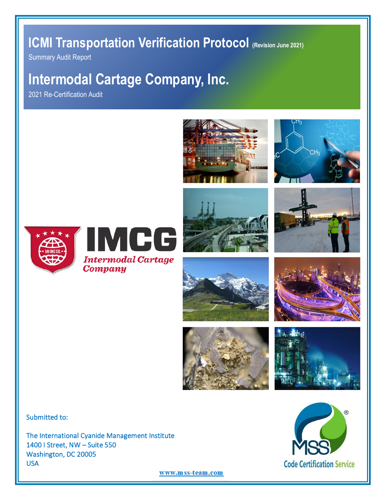## **ICMI Transportation Verification Protocol (Revision June 2021)**

Summary Audit Report

# **Intermodal Cartage Company, Inc.**

2021 Re-Certification Audit





















Submitted to:

The International Cyanide Management Institute 1400 I Street, NW – Suite 550 Washington, DC 20005 USA



www.mss-team.com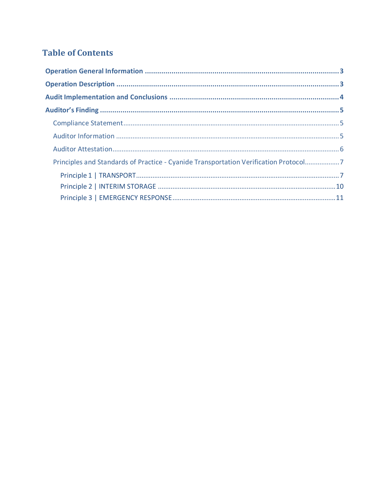## **Table of Contents**

| Principles and Standards of Practice - Cyanide Transportation Verification Protocol7 |  |
|--------------------------------------------------------------------------------------|--|
|                                                                                      |  |
|                                                                                      |  |
|                                                                                      |  |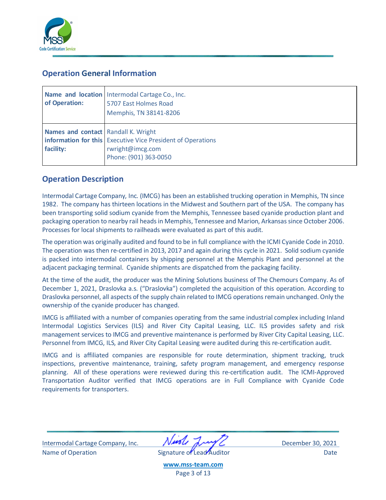

## <span id="page-2-0"></span>**Operation General Information**

| of Operation:                                    | Name and location   Intermodal Cartage Co., Inc.<br>5707 East Holmes Road<br>Memphis, TN 38141-8206             |
|--------------------------------------------------|-----------------------------------------------------------------------------------------------------------------|
| Names and contact Randall K. Wright<br>facility: | <b>information for this</b> Executive Vice President of Operations<br>rwright@imcg.com<br>Phone: (901) 363-0050 |

## <span id="page-2-1"></span>**Operation Description**

Intermodal Cartage Company, Inc. (IMCG) has been an established trucking operation in Memphis, TN since 1982. The company has thirteen locations in the Midwest and Southern part of the USA. The company has been transporting solid sodium cyanide from the Memphis, Tennessee based cyanide production plant and packaging operation to nearby rail heads in Memphis, Tennessee and Marion, Arkansas since October 2006. Processes for local shipments to railheads were evaluated as part of this audit.

The operation was originally audited and found to be in full compliance with the ICMI Cyanide Code in 2010. The operation was then re-certified in 2013, 2017 and again during this cycle in 2021. Solid sodium cyanide is packed into intermodal containers by shipping personnel at the Memphis Plant and personnel at the adjacent packaging terminal. Cyanide shipments are dispatched from the packaging facility.

At the time of the audit, the producer was the Mining Solutions business of The Chemours Company. As of December 1, 2021, Draslovka a.s. ("Draslovka") completed the acquisition of this operation. According to Draslovka personnel, all aspects of the supply chain related to IMCG operations remain unchanged. Only the ownership of the cyanide producer has changed.

IMCG is affiliated with a number of companies operating from the same industrial complex including Inland Intermodal Logistics Services (ILS) and River City Capital Leasing, LLC. ILS provides safety and risk management services to IMCG and preventive maintenance is performed by River City Capital Leasing, LLC. Personnel from IMCG, ILS, and River City Capital Leasing were audited during this re-certification audit.

IMCG and is affiliated companies are responsible for route determination, shipment tracking, truck inspections, preventive maintenance, training, safety program management, and emergency response planning. All of these operations were reviewed during this re-certification audit. The ICMI-Approved Transportation Auditor verified that IMCG operations are in Full Compliance with Cyanide Code requirements for transporters.

Intermodal Cartage Company, Inc. **Intermodal Cartage Company, Inc.** December 30, 2021 Name of Operation **Name of Lead Auditor** Date Controller Date

**[www.mss-team.com](http://www.mss-team.com/)** Page 3 of 13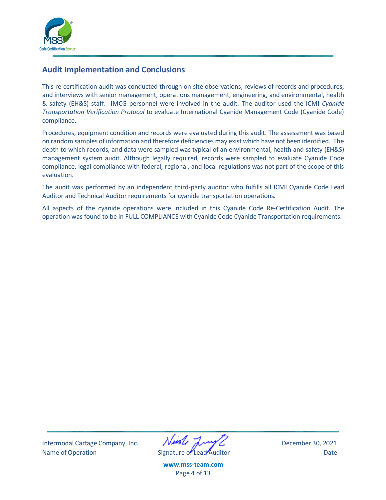

### <span id="page-3-0"></span>**Audit Implementation and Conclusions**

This re-certification audit was conducted through on-site observations, reviews of records and procedures, and interviews with senior management, operations management, engineering, and environmental, health & safety (EH&S) staff. IMCG personnel were involved in the audit. The auditor used the ICMI *Cyanide Transportation Verification Protocol* to evaluate International Cyanide Management Code (Cyanide Code) compliance.

Procedures, equipment condition and records were evaluated during this audit. The assessment was based on random samples of information and therefore deficiencies may exist which have not been identified. The depth to which records, and data were sampled was typical of an environmental, health and safety (EH&S) management system audit. Although legally required, records were sampled to evaluate Cyanide Code compliance, legal compliance with federal, regional, and local regulations was not part of the scope of this evaluation.

The audit was performed by an independent third-party auditor who fulfills all ICMI Cyanide Code Lead Auditor and Technical Auditor requirements for cyanide transportation operations.

All aspects of the cyanide operations were included in this Cyanide Code Re-Certification Audit. The operation was found to be in FULL COMPLIANCE with Cyanide Code Cyanide Transportation requirements.

Intermodal Cartage Company, Inc. December 30, 2021 Name of Operation **Name of Lead Auditor** Date Controller Date

**[www.mss-team.com](http://www.mss-team.com/)**

Page 4 of 13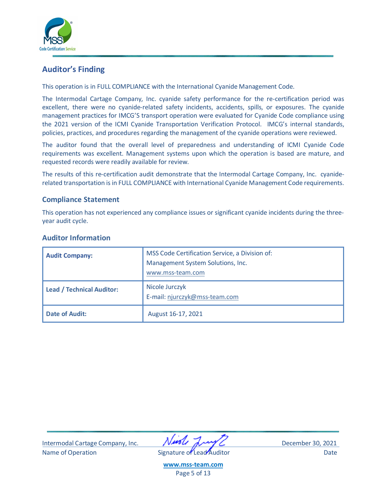

## <span id="page-4-0"></span>**Auditor's Finding**

This operation is in FULL COMPLIANCE with the International Cyanide Management Code.

The Intermodal Cartage Company, Inc. cyanide safety performance for the re-certification period was excellent, there were no cyanide-related safety incidents, accidents, spills, or exposures. The cyanide management practices for IMCG'S transport operation were evaluated for Cyanide Code compliance using the 2021 version of the ICMI Cyanide Transportation Verification Protocol. IMCG's internal standards, policies, practices, and procedures regarding the management of the cyanide operations were reviewed.

The auditor found that the overall level of preparedness and understanding of ICMI Cyanide Code requirements was excellent. Management systems upon which the operation is based are mature, and requested records were readily available for review.

The results of this re-certification audit demonstrate that the Intermodal Cartage Company, Inc. cyaniderelated transportation is in FULL COMPLIANCE with International Cyanide Management Code requirements.

#### <span id="page-4-1"></span>**Compliance Statement**

This operation has not experienced any compliance issues or significant cyanide incidents during the threeyear audit cycle.

| <b>Audit Company:</b>            | MSS Code Certification Service, a Division of:<br>Management System Solutions, Inc.<br>www.mss-team.com |
|----------------------------------|---------------------------------------------------------------------------------------------------------|
| <b>Lead / Technical Auditor:</b> | Nicole Jurczyk<br>E-mail: njurczyk@mss-team.com                                                         |
| <b>Date of Audit:</b>            | August 16-17, 2021                                                                                      |

#### <span id="page-4-2"></span>**Auditor Information**

Intermodal Cartage Company, Inc. December 30, 2021 Name of Operation **Name of Lead Auditor** Date Date

**[www.mss-team.com](http://www.mss-team.com/)** Page 5 of 13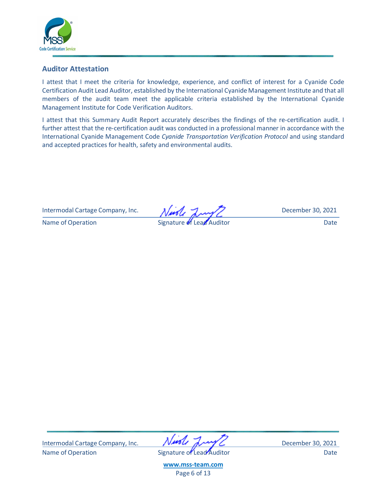

#### <span id="page-5-0"></span>**Auditor Attestation**

I attest that I meet the criteria for knowledge, experience, and conflict of interest for a Cyanide Code Certification Audit Lead Auditor, established by the International Cyanide Management Institute and that all members of the audit team meet the applicable criteria established by the International Cyanide Management Institute for Code Verification Auditors.

I attest that this Summary Audit Report accurately describes the findings of the re-certification audit. I further attest that the re-certification audit was conducted in a professional manner in accordance with the International Cyanide Management Code *Cyanide Transportation Verification Protocol* and using standard and accepted practices for health, safety and environmental audits.

Intermodal Cartage Company, Inc. Nursley Jury Z December 30, 2021

Name of Operation Signature of Lead Auditor Date

Intermodal Cartage Company, Inc. **WASH WAY** C December 30, 2021 Name of Operation **Name of Lead Auditor** Date Date

**[www.mss-team.com](http://www.mss-team.com/)** Page 6 of 13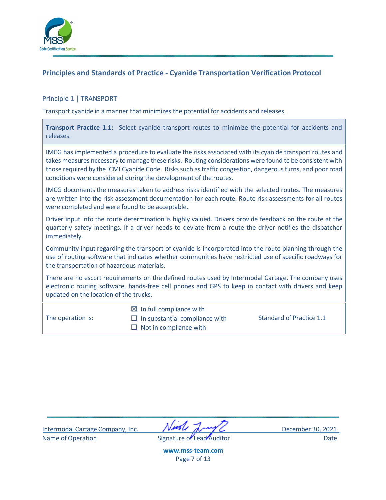

### <span id="page-6-0"></span>**Principles and Standards of Practice - Cyanide Transportation Verification Protocol**

#### <span id="page-6-1"></span>Principle 1 | TRANSPORT

Transport cyanide in a manner that minimizes the potential for accidents and releases.

| Transport Practice 1.1: Select cyanide transport routes to minimize the potential for accidents and |  |  |  |  |  |
|-----------------------------------------------------------------------------------------------------|--|--|--|--|--|
| releases.                                                                                           |  |  |  |  |  |

IMCG has implemented a procedure to evaluate the risks associated with its cyanide transport routes and takes measures necessary to manage these risks. Routing considerations were found to be consistent with those required by the ICMI Cyanide Code. Risks such as traffic congestion, dangerous turns, and poor road conditions were considered during the development of the routes.

IMCG documents the measures taken to address risks identified with the selected routes. The measures are written into the risk assessment documentation for each route. Route risk assessments for all routes were completed and were found to be acceptable.

Driver input into the route determination is highly valued. Drivers provide feedback on the route at the quarterly safety meetings. If a driver needs to deviate from a route the driver notifies the dispatcher immediately.

Community input regarding the transport of cyanide is incorporated into the route planning through the use of routing software that indicates whether communities have restricted use of specific roadways for the transportation of hazardous materials.

There are no escort requirements on the defined routes used by Intermodal Cartage. The company uses electronic routing software, hands-free cell phones and GPS to keep in contact with drivers and keep updated on the location of the trucks.

The operation is:

 $\boxtimes$  In full compliance with

 $\Box$  In substantial compliance with  $\Box$  Not in compliance with

Standard of Practice 1.1

Intermodal Cartage Company, Inc. December 30, 2021 Name of Operation **Name of Lead Auditor** Date Controller Date

**[www.mss-team.com](http://www.mss-team.com/)** Page 7 of 13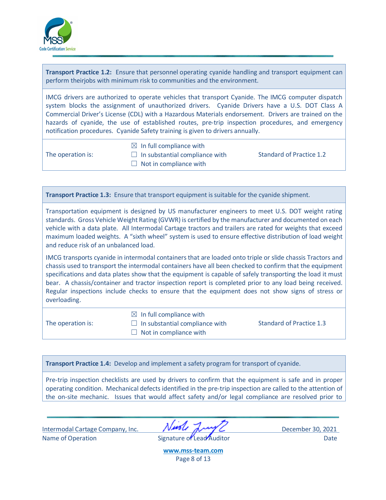

**Transport Practice 1.2:** Ensure that personnel operating cyanide handling and transport equipment can perform theirjobs with minimum risk to communities and the environment.

IMCG drivers are authorized to operate vehicles that transport Cyanide. The IMCG computer dispatch system blocks the assignment of unauthorized drivers. Cyanide Drivers have a U.S. DOT Class A Commercial Driver's License (CDL) with a Hazardous Materials endorsement. Drivers are trained on the hazards of cyanide, the use of established routes, pre-trip inspection procedures, and emergency notification procedures. Cyanide Safety training is given to drivers annually.

The operation is:

 $\boxtimes$  In full compliance with  $\Box$  In substantial compliance with  $\Box$  Not in compliance with

Standard of Practice 1.2

**Transport Practice 1.3:** Ensure that transport equipment issuitable for the cyanide shipment.

Transportation equipment is designed by US manufacturer engineers to meet U.S. DOT weight rating standards. Gross Vehicle Weight Rating (GVWR) is certified by the manufacturer and documented on each vehicle with a data plate. All Intermodal Cartage tractors and trailers are rated for weights that exceed maximum loaded weights. A "sixth wheel" system is used to ensure effective distribution of load weight and reduce risk of an unbalanced load.

IMCG transports cyanide in intermodal containers that are loaded onto triple or slide chassis Tractors and chassis used to transport the intermodal containers have all been checked to confirm that the equipment specifications and data plates show that the equipment is capable of safely transporting the load it must bear. A chassis/container and tractor inspection report is completed prior to any load being received. Regular inspections include checks to ensure that the equipment does not show signs of stress or overloading.

The operation is:

 $\boxtimes$  In full compliance with

 $\Box$  In substantial compliance with

- Standard of Practice 1.3
- $\Box$  Not in compliance with

**Transport Practice 1.4:** Develop and implement a safety program for transport of cyanide.

Pre-trip inspection checklists are used by drivers to confirm that the equipment is safe and in proper operating condition. Mechanical defects identified in the pre-trip inspection are called to the attention of the on-site mechanic. Issues that would affect safety and/or legal compliance are resolved prior to

Intermodal Cartage Company, Inc. December 30, 2021 Name of Operation **Name of Lead Auditor** Date Date **Date** 

**[www.mss-team.com](http://www.mss-team.com/)** Page 8 of 13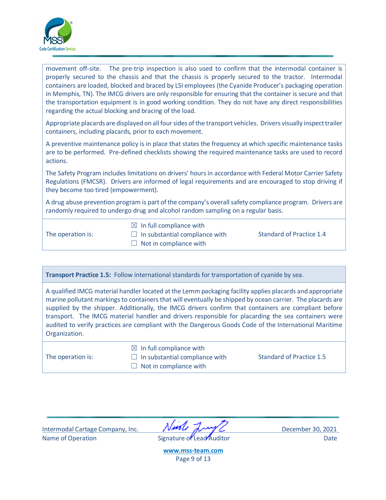

movement off-site. The pre-trip inspection is also used to confirm that the intermodal container is properly secured to the chassis and that the chassis is properly secured to the tractor. Intermodal containers are loaded, blocked and braced by LSI employees (the Cyanide Producer's packaging operation in Memphis, TN). The IMCG drivers are only responsible for ensuring that the container is secure and that the transportation equipment is in good working condition. They do not have any direct responsibilities regarding the actual blocking and bracing of the load.

Appropriate placards are displayed on all four sides of the transport vehicles. Drivers visually inspect trailer containers, including placards, prior to each movement.

A preventive maintenance policy is in place that states the frequency at which specific maintenance tasks are to be performed. Pre-defined checklists showing the required maintenance tasks are used to record actions.

The Safety Program includes limitations on drivers' hours in accordance with Federal Motor Carrier Safety Regulations (FMCSR). Drivers are informed of legal requirements and are encouraged to stop driving if they become too tired (empowerment).

A drug abuse prevention program is part of the company's overall safety compliance program. Drivers are randomly required to undergo drug and alcohol random sampling on a regular basis.

The operation is:

 $\boxtimes$  In full compliance with  $\Box$  In substantial compliance with

Standard of Practice 1.4

 $\Box$  Not in compliance with

**Transport Practice 1.5:** Follow international standards for transportation of cyanide by sea.

A qualified IMCG material handler located at the Lemm packaging facility applies placards and appropriate marine pollutant markings to containers that will eventually be shipped by ocean carrier. The placards are supplied by the shipper. Additionally, the IMCG drivers confirm that containers are compliant before transport. The IMCG material handler and drivers responsible for placarding the sea containers were audited to verify practices are compliant with the Dangerous Goods Code of the International Maritime Organization.

The operation is:

 $\boxtimes$  In full compliance with  $\Box$  In substantial compliance with

Standard of Practice 1.5

 $\Box$  Not in compliance with

Intermodal Cartage Company, Inc. December 30, 2021 Name of Operation **Name of Lead Auditor** Date Date **Date** 

**[www.mss-team.com](http://www.mss-team.com/)** Page 9 of 13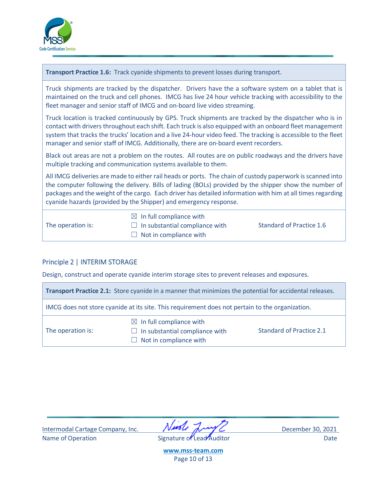

| Transport Practice 1.6: Track cyanide shipments to prevent losses during transport.                                                                                                                                                                                                                                                                                                                                         |                                                                                                 |                          |  |  |  |  |  |
|-----------------------------------------------------------------------------------------------------------------------------------------------------------------------------------------------------------------------------------------------------------------------------------------------------------------------------------------------------------------------------------------------------------------------------|-------------------------------------------------------------------------------------------------|--------------------------|--|--|--|--|--|
| Truck shipments are tracked by the dispatcher. Drivers have the a software system on a tablet that is<br>maintained on the truck and cell phones. IMCG has live 24 hour vehicle tracking with accessibility to the<br>fleet manager and senior staff of IMCG and on-board live video streaming.                                                                                                                             |                                                                                                 |                          |  |  |  |  |  |
| Truck location is tracked continuously by GPS. Truck shipments are tracked by the dispatcher who is in<br>contact with drivers throughout each shift. Each truck is also equipped with an onboard fleet management<br>system that tracks the trucks' location and a live 24-hour video feed. The tracking is accessible to the fleet<br>manager and senior staff of IMCG. Additionally, there are on-board event recorders. |                                                                                                 |                          |  |  |  |  |  |
| Black out areas are not a problem on the routes. All routes are on public roadways and the drivers have<br>multiple tracking and communication systems available to them.                                                                                                                                                                                                                                                   |                                                                                                 |                          |  |  |  |  |  |
| All IMCG deliveries are made to either rail heads or ports. The chain of custody paperwork is scanned into<br>the computer following the delivery. Bills of lading (BOLs) provided by the shipper show the number of<br>packages and the weight of the cargo. Each driver has detailed information with him at all times regarding<br>cyanide hazards (provided by the Shipper) and emergency response.                     |                                                                                                 |                          |  |  |  |  |  |
| The operation is:                                                                                                                                                                                                                                                                                                                                                                                                           | $\boxtimes$ In full compliance with<br>In substantial compliance with<br>Not in compliance with | Standard of Practice 1.6 |  |  |  |  |  |

## <span id="page-9-0"></span>Principle 2 | INTERIM STORAGE

Design, construct and operate cyanide interim storage sites to prevent releases and exposures.

| Transport Practice 2.1: Store cyanide in a manner that minimizes the potential for accidental releases. |                                                                                                 |                                 |  |  |  |  |
|---------------------------------------------------------------------------------------------------------|-------------------------------------------------------------------------------------------------|---------------------------------|--|--|--|--|
| IMCG does not store cyanide at its site. This requirement does not pertain to the organization.         |                                                                                                 |                                 |  |  |  |  |
| The operation is:                                                                                       | $\boxtimes$ In full compliance with<br>In substantial compliance with<br>Not in compliance with | <b>Standard of Practice 2.1</b> |  |  |  |  |

| Intermodal Cartage Company, Inc. | Nivole Lung 2             | December 30, 2021 |
|----------------------------------|---------------------------|-------------------|
|                                  |                           |                   |
| Name of Operation                | Signature of Lead Auditor | Date              |

**[www.mss-team.com](http://www.mss-team.com/)** Page 10 of 13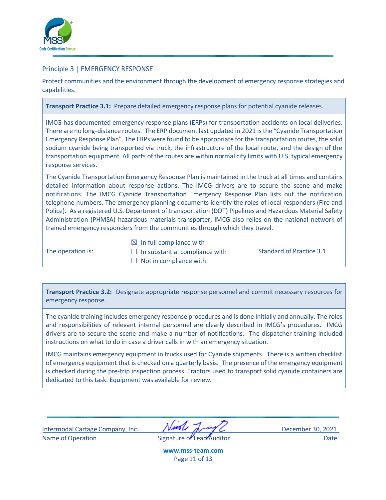

#### <span id="page-10-0"></span>Principle 3 | EMERGENCY RESPONSE

Protect communities and the environment through the development of emergency response strategies and capabilities.

**Transport Practice 3.1:** Prepare detailed emergency response plans for potential cyanide releases.

IMCG has documented emergency response plans (ERPs) for transportation accidents on local deliveries. There are no long-distance routes. The ERP document last updated in 2021 is the "Cyanide Transportation Emergency Response Plan". The ERPs were found to be appropriate for the transportation routes, the solid sodium cyanide being transported via truck, the infrastructure of the local route, and the design of the transportation equipment. All parts of the routes are within normal city limits with U.S. typical emergency response services.

The Cyanide Transportation Emergency Response Plan is maintained in the truck at all times and contains detailed information about response actions. The IMCG drivers are to secure the scene and make notifications. The IMCG Cyanide Transportation Emergency Response Plan lists out the notification telephone numbers. The emergency planning documents identify the roles of local responders (Fire and Police). As a registered U.S. Department of transportation (DOT) Pipelines and Hazardous Material Safety Administration (PHMSA) hazardous materials transporter, IMCG also relies on the national network of trained emergency responders from the communities through which they travel.

The operation is:

 $\boxtimes$  In full compliance with

 $\Box$  In substantial compliance with

Standard of Practice 3.1

 $\Box$  Not in compliance with

**Transport Practice 3.2:** Designate appropriate response personnel and commit necessary resources for emergency response.

The cyanide training includes emergency response procedures and is done initially and annually. The roles and responsibilities of relevant internal personnel are clearly described in IMCG's procedures. IMCG drivers are to secure the scene and make a number of notifications. The dispatcher training included instructions on what to do in case a driver calls in with an emergency situation.

IMCG maintains emergency equipment in trucks used for Cyanide shipments. There is a written checklist of emergency equipment that is checked on a quarterly basis. The presence of the emergency equipment is checked during the pre-trip inspection process. Tractors used to transport solid cyanide containers are dedicated to this task. Equipment was available for review.

Intermodal Cartage Company, Inc. December 30, 2021 Name of Operation **Name of Lead Auditor** Date Date **Date** Date

**[www.mss-team.com](http://www.mss-team.com/)** Page 11 of 13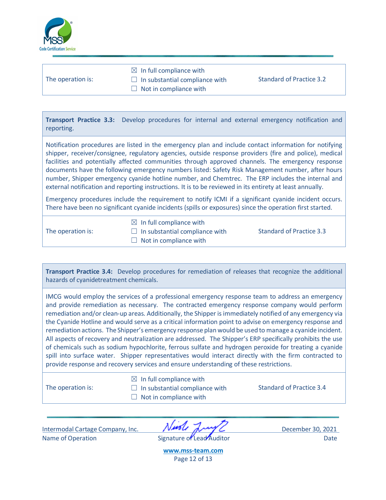

|                   | $\boxtimes$ In full compliance with   |                          |
|-------------------|---------------------------------------|--------------------------|
| The operation is: | $\Box$ In substantial compliance with | Standard of Practice 3.2 |
|                   | $\Box$ Not in compliance with         |                          |
|                   |                                       |                          |

**Transport Practice 3.3:** Develop procedures for internal and external emergency notification and reporting.

Notification procedures are listed in the emergency plan and include contact information for notifying shipper, receiver/consignee, regulatory agencies, outside response providers (fire and police), medical facilities and potentially affected communities through approved channels. The emergency response documents have the following emergency numbers listed: Safety Risk Management number, after hours number, Shipper emergency cyanide hotline number, and Chemtrec. The ERP includes the internal and external notification and reporting instructions. It is to be reviewed in its entirety at least annually.

Emergency procedures include the requirement to notify ICMI if a significant cyanide incident occurs. There have been no significant cyanide incidents (spills or exposures) since the operation first started.

The operation is:

- $\boxtimes$  In full compliance with
- $\Box$  In substantial compliance with

 $\Box$  Not in compliance with

Standard of Practice 3.3

**Transport Practice 3.4:** Develop procedures for remediation of releases that recognize the additional hazards of cyanidetreatment chemicals.

IMCG would employ the services of a professional emergency response team to address an emergency and provide remediation as necessary. The contracted emergency response company would perform remediation and/or clean-up areas. Additionally, the Shipper is immediately notified of any emergency via the Cyanide Hotline and would serve as a critical information point to advise on emergency response and remediation actions. The Shipper's emergency response plan would be used to manage a cyanide incident. All aspects of recovery and neutralization are addressed. The Shipper's ERP specifically prohibits the use of chemicals such as sodium hypochlorite, ferrous sulfate and hydrogen peroxide for treating a cyanide spill into surface water. Shipper representatives would interact directly with the firm contracted to provide response and recovery services and ensure understanding of these restrictions.

The operation is:

 $\boxtimes$  In full compliance with  $\Box$  In substantial compliance with

Standard of Practice 3.4

 $\Box$  Not in compliance with

Intermodal Cartage Company, Inc. December 30, 2021

Name of Operation **Name of Lead Auditor** Date Date **Date** 

**[www.mss-team.com](http://www.mss-team.com/)** Page 12 of 13